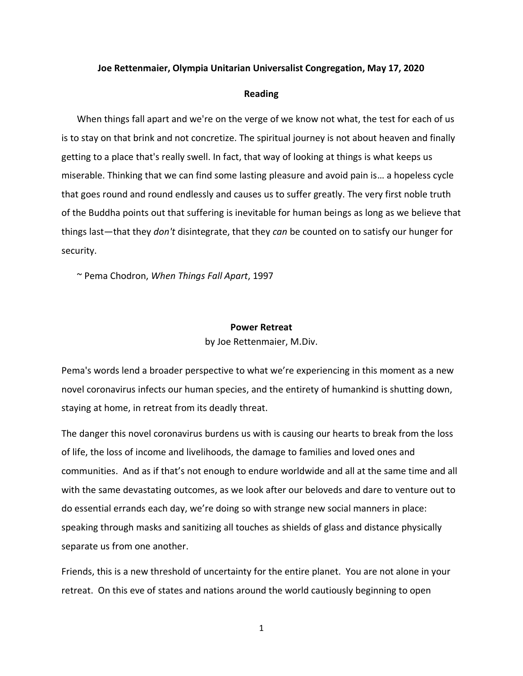## **Joe Rettenmaier, Olympia Unitarian Universalist Congregation, May 17, 2020**

## **Reading**

When things fall apart and we're on the verge of we know not what, the test for each of us is to stay on that brink and not concretize. The spiritual journey is not about heaven and finally getting to a place that's really swell. In fact, that way of looking at things is what keeps us miserable. Thinking that we can find some lasting pleasure and avoid pain is… a hopeless cycle that goes round and round endlessly and causes us to suffer greatly. The very first noble truth of the Buddha points out that suffering is inevitable for human beings as long as we believe that things last—that they *don't* disintegrate, that they *can* be counted on to satisfy our hunger for security.

~ Pema Chodron, *When Things Fall Apart*, 1997

## **Power Retreat**

by Joe Rettenmaier, M.Div.

Pema's words lend a broader perspective to what we're experiencing in this moment as a new novel coronavirus infects our human species, and the entirety of humankind is shutting down, staying at home, in retreat from its deadly threat.

The danger this novel coronavirus burdens us with is causing our hearts to break from the loss of life, the loss of income and livelihoods, the damage to families and loved ones and communities. And as if that's not enough to endure worldwide and all at the same time and all with the same devastating outcomes, as we look after our beloveds and dare to venture out to do essential errands each day, we're doing so with strange new social manners in place: speaking through masks and sanitizing all touches as shields of glass and distance physically separate us from one another.

Friends, this is a new threshold of uncertainty for the entire planet. You are not alone in your retreat. On this eve of states and nations around the world cautiously beginning to open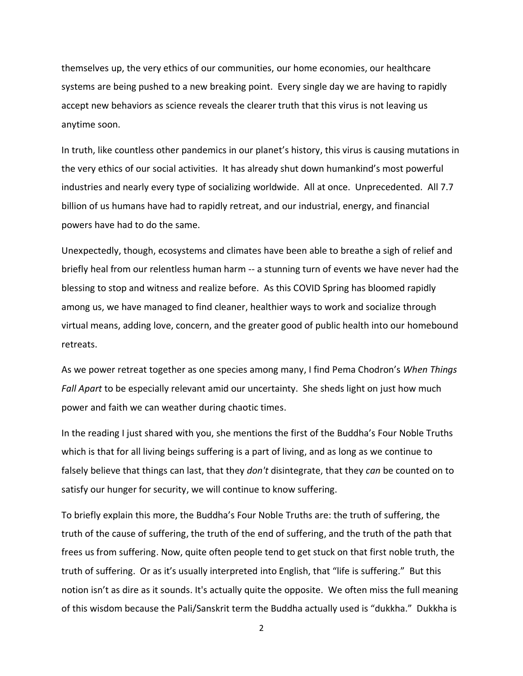themselves up, the very ethics of our communities, our home economies, our healthcare systems are being pushed to a new breaking point. Every single day we are having to rapidly accept new behaviors as science reveals the clearer truth that this virus is not leaving us anytime soon.

In truth, like countless other pandemics in our planet's history, this virus is causing mutations in the very ethics of our social activities. It has already shut down humankind's most powerful industries and nearly every type of socializing worldwide. All at once. Unprecedented. All 7.7 billion of us humans have had to rapidly retreat, and our industrial, energy, and financial powers have had to do the same.

Unexpectedly, though, ecosystems and climates have been able to breathe a sigh of relief and briefly heal from our relentless human harm -- a stunning turn of events we have never had the blessing to stop and witness and realize before. As this COVID Spring has bloomed rapidly among us, we have managed to find cleaner, healthier ways to work and socialize through virtual means, adding love, concern, and the greater good of public health into our homebound retreats.

As we power retreat together as one species among many, I find Pema Chodron's *When Things Fall Apart* to be especially relevant amid our uncertainty. She sheds light on just how much power and faith we can weather during chaotic times.

In the reading I just shared with you, she mentions the first of the Buddha's Four Noble Truths which is that for all living beings suffering is a part of living, and as long as we continue to falsely believe that things can last, that they *don't* disintegrate, that they *can* be counted on to satisfy our hunger for security, we will continue to know suffering.

To briefly explain this more, the Buddha's Four Noble Truths are: the truth of suffering, the truth of the cause of suffering, the truth of the end of suffering, and the truth of the path that frees us from suffering. Now, quite often people tend to get stuck on that first noble truth, the truth of suffering. Or as it's usually interpreted into English, that "life is suffering." But this notion isn't as dire as it sounds. It's actually quite the opposite. We often miss the full meaning of this wisdom because the Pali/Sanskrit term the Buddha actually used is "dukkha." Dukkha is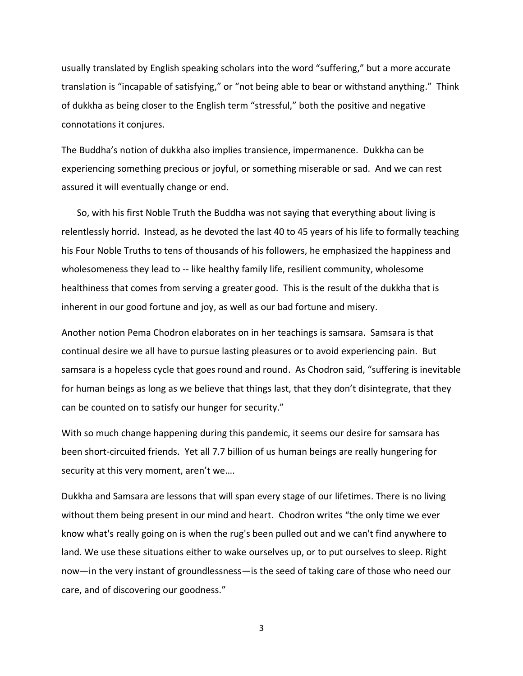usually translated by English speaking scholars into the word "suffering," but a more accurate translation is "incapable of satisfying," or "not being able to bear or withstand anything." Think of dukkha as being closer to the English term "stressful," both the positive and negative connotations it conjures.

The Buddha's notion of dukkha also implies transience, impermanence. Dukkha can be experiencing something precious or joyful, or something miserable or sad. And we can rest assured it will eventually change or end.

So, with his first Noble Truth the Buddha was not saying that everything about living is relentlessly horrid. Instead, as he devoted the last 40 to 45 years of his life to formally teaching his Four Noble Truths to tens of thousands of his followers, he emphasized the happiness and wholesomeness they lead to -- like healthy family life, resilient community, wholesome healthiness that comes from serving a greater good. This is the result of the dukkha that is inherent in our good fortune and joy, as well as our bad fortune and misery.

Another notion Pema Chodron elaborates on in her teachings is samsara. Samsara is that continual desire we all have to pursue lasting pleasures or to avoid experiencing pain. But samsara is a hopeless cycle that goes round and round. As Chodron said, "suffering is inevitable for human beings as long as we believe that things last, that they don't disintegrate, that they can be counted on to satisfy our hunger for security."

With so much change happening during this pandemic, it seems our desire for samsara has been short-circuited friends. Yet all 7.7 billion of us human beings are really hungering for security at this very moment, aren't we….

Dukkha and Samsara are lessons that will span every stage of our lifetimes. There is no living without them being present in our mind and heart. Chodron writes "the only time we ever know what's really going on is when the rug's been pulled out and we can't find anywhere to land. We use these situations either to wake ourselves up, or to put ourselves to sleep. Right now—in the very instant of groundlessness—is the seed of taking care of those who need our care, and of discovering our goodness."